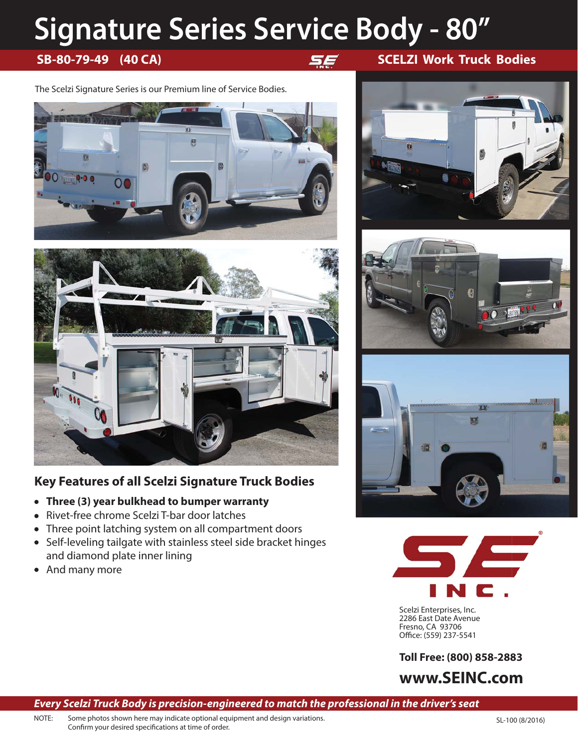# **Signature Series Service Body - 80"**

The Scelzi Signature Series is our Premium line of Service Bodies.





# **Key Features of all Scelzi Signature Truck Bodies**

- **Three (3) year bulkhead to bumper warranty**
- Rivet-free chrome Scelzi T-bar door latches  $\bullet$
- Three point latching system on all compartment doors  $\bullet$
- Self-leveling tailgate with stainless steel side bracket hinges and diamond plate inner lining
- And many more











Scelzi Enterprises, Inc. 2286 East Date Avenue Fresno, CA 93706 Office: (559) 237-5541

**Toll Free: (800) 858-2883**

**www.SEINC.com**

## *Every Scelzi Truck Body is precision-engineered to match the professional in the driver's seat*